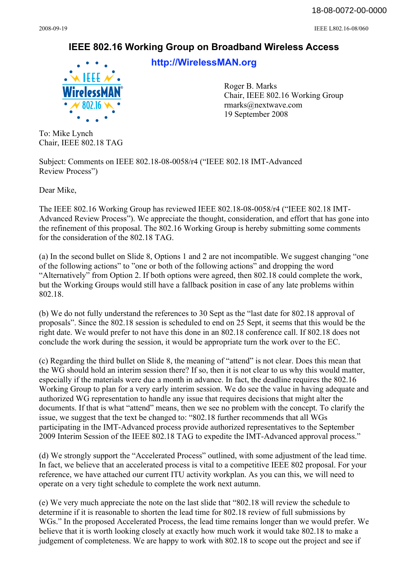2008-09-19 IEEE L802.16-08/060

## **IEEE 802.16 Working Group on Broadband Wireless Access**



**<http://WirelessMAN.org>**

Roger B. Marks Chair, IEEE 802.16 Working Group [rmarks@nextwave.com](mailto:rmarks@nextwave.com) 19 September 2008

To: Mike Lynch Chair, IEEE 802.18 TAG

Subject: Comments on IEEE 802.18-08-0058/r4 ("IEEE 802.18 IMT-Advanced Review Process")

Dear Mike,

The IEEE 802.16 Working Group has reviewed IEEE 802.18-08-0058/r4 ("IEEE 802.18 IMT-Advanced Review Process"). We appreciate the thought, consideration, and effort that has gone into the refinement of this proposal. The 802.16 Working Group is hereby submitting some comments for the consideration of the 802.18 TAG.

(a) In the second bullet on Slide 8, Options 1 and 2 are not incompatible. We suggest changing "one of the following actions" to "one or both of the following actions" and dropping the word "Alternatively" from Option 2. If both options were agreed, then 802.18 could complete the work, but the Working Groups would still have a fallback position in case of any late problems within 802.18.

(b) We do not fully understand the references to 30 Sept as the "last date for 802.18 approval of proposals". Since the 802.18 session is scheduled to end on 25 Sept, it seems that this would be the right date. We would prefer to not have this done in an 802.18 conference call. If 802.18 does not conclude the work during the session, it would be appropriate turn the work over to the EC.

(c) Regarding the third bullet on Slide 8, the meaning of "attend" is not clear. Does this mean that the WG should hold an interim session there? If so, then it is not clear to us why this would matter, especially if the materials were due a month in advance. In fact, the deadline requires the 802.16 Working Group to plan for a very early interim session. We do see the value in having adequate and authorized WG representation to handle any issue that requires decisions that might alter the documents. If that is what "attend" means, then we see no problem with the concept. To clarify the issue, we suggest that the text be changed to: "802.18 further recommends that all WGs participating in the IMT-Advanced process provide authorized representatives to the September 2009 Interim Session of the IEEE 802.18 TAG to expedite the IMT-Advanced approval process."

(d) We strongly support the "Accelerated Process" outlined, with some adjustment of the lead time. In fact, we believe that an accelerated process is vital to a competitive IEEE 802 proposal. For your reference, we have attached our current ITU activity workplan. As you can this, we will need to operate on a very tight schedule to complete the work next autumn.

(e) We very much appreciate the note on the last slide that "802.18 will review the schedule to determine if it is reasonable to shorten the lead time for 802.18 review of full submissions by WGs." In the proposed Accelerated Process, the lead time remains longer than we would prefer. We believe that it is worth looking closely at exactly how much work it would take 802.18 to make a judgement of completeness. We are happy to work with 802.18 to scope out the project and see if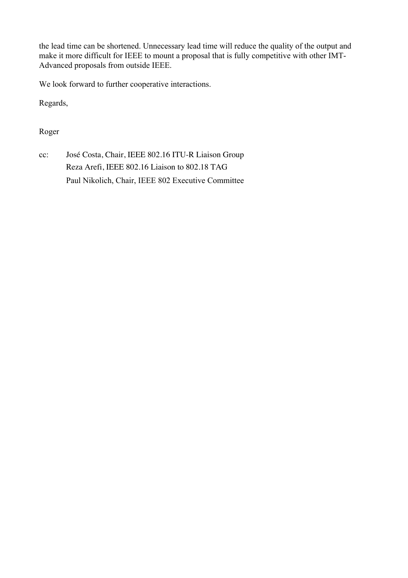the lead time can be shortened. Unnecessary lead time will reduce the quality of the output and make it more difficult for IEEE to mount a proposal that is fully competitive with other IMT-Advanced proposals from outside IEEE.

We look forward to further cooperative interactions.

Regards,

Roger

cc: José Costa, Chair, IEEE 802.16 ITU-R Liaison Group Reza Arefi, IEEE 802.16 Liaison to 802.18 TAG Paul Nikolich, Chair, IEEE 802 Executive Committee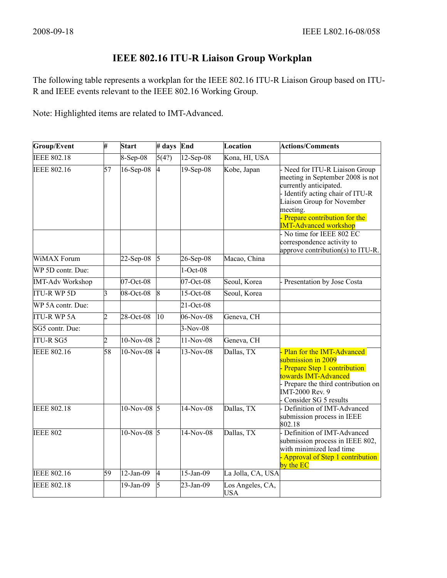## **IEEE 802.16 ITU-R Liaison Group Workplan**

The following table represents a workplan for the IEEE 802.16 ITU-R Liaison Group based on ITU-R and IEEE events relevant to the IEEE 802.16 Working Group.

Note: Highlighted items are related to IMT-Advanced.

| Group/Event             | $\overline{\mathcal{H}}$ | Start          | # days          | End          | Location                       | <b>Actions/Comments</b>                                                                                                                                                                                                                  |
|-------------------------|--------------------------|----------------|-----------------|--------------|--------------------------------|------------------------------------------------------------------------------------------------------------------------------------------------------------------------------------------------------------------------------------------|
| <b>IEEE 802.18</b>      |                          | 8-Sep-08       | 5(4?)           | $12$ -Sep-08 | Kona, HI, USA                  |                                                                                                                                                                                                                                          |
| <b>IEEE 802.16</b>      | $\overline{57}$          | $16$ -Sep-08   | 4               | $19-Sep-08$  | Kobe, Japan                    | Need for ITU-R Liaison Group<br>meeting in September 2008 is not<br>currently anticipated.<br>- Identify acting chair of ITU-R<br>Liaison Group for November<br>meeting.<br>Prepare contribution for the<br><b>IMT-Advanced workshop</b> |
|                         |                          |                |                 |              |                                | - No time for IEEE 802 EC<br>correspondence activity to<br>approve contribution(s) to ITU-R.                                                                                                                                             |
| <b>WiMAX</b> Forum      |                          | $22-Sep-08$    | 5               | $26$ -Sep-08 | Macao, China                   |                                                                                                                                                                                                                                          |
| WP 5D contr. Due:       |                          |                |                 | $1-Oct-08$   |                                |                                                                                                                                                                                                                                          |
| <b>IMT-Adv Workshop</b> |                          | 07-Oct-08      |                 | $07-Oct-08$  | Seoul, Korea                   | Presentation by Jose Costa                                                                                                                                                                                                               |
| <b>ITU-R WP 5D</b>      | 3                        | 08-Oct-08      | $\overline{8}$  | $15$ -Oct-08 | Seoul, Korea                   |                                                                                                                                                                                                                                          |
| WP 5A contr. Due:       |                          |                |                 | $21-Oct-08$  |                                |                                                                                                                                                                                                                                          |
| <b>ITU-R WP 5A</b>      | 2                        | 28-Oct-08      | $\overline{10}$ | $06-Nov-08$  | Geneva, CH                     |                                                                                                                                                                                                                                          |
| SG5 contr. Due:         |                          |                |                 | $3-Nov-08$   |                                |                                                                                                                                                                                                                                          |
| <b>ITU-R SG5</b>        | 2                        | $10-Nov-08$ 2  |                 | $11-Nov-08$  | Geneva, CH                     |                                                                                                                                                                                                                                          |
| <b>IEEE 802.16</b>      | 58                       | $10-Nov-08$ 4  |                 | $13-Nov-08$  | Dallas, TX                     | Plan for the IMT-Advanced<br>submission in 2009<br>Prepare Step 1 contribution<br>towards IMT-Advanced<br>Prepare the third contribution on<br>IMT-2000 Rev. 9<br>Consider SG 5 results                                                  |
| <b>IEEE 802.18</b>      |                          | $10-Nov-08$ 5  |                 | $14-Nov-08$  | Dallas, TX                     | Definition of IMT-Advanced<br>submission process in IEEE<br>802.18                                                                                                                                                                       |
| <b>IEEE 802</b>         |                          | 10-Nov-08 $ 5$ |                 | 14-Nov-08    | Dallas, TX                     | Definition of IMT-Advanced<br>submission process in IEEE 802,<br>with minimized lead time<br>Approval of Step 1 contribution<br>by the EC                                                                                                |
| <b>IEEE 802.16</b>      | 59                       | $12-Jan-09$    | 4               | $15$ -Jan-09 | La Jolla, CA, USA              |                                                                                                                                                                                                                                          |
| <b>IEEE 802.18</b>      |                          | $19$ -Jan-09   | 15              | $23$ -Jan-09 | Los Angeles, CA,<br><b>USA</b> |                                                                                                                                                                                                                                          |